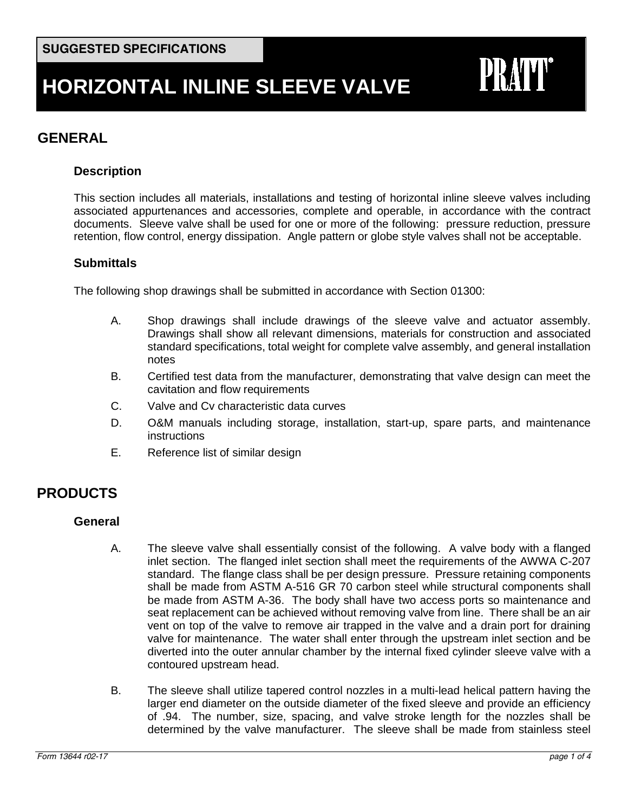# **GENERAL**

## **Description**

This section includes all materials, installations and testing of horizontal inline sleeve valves including associated appurtenances and accessories, complete and operable, in accordance with the contract documents. Sleeve valve shall be used for one or more of the following: pressure reduction, pressure retention, flow control, energy dissipation. Angle pattern or globe style valves shall not be acceptable.

## **Submittals**

The following shop drawings shall be submitted in accordance with Section 01300:

- A. Shop drawings shall include drawings of the sleeve valve and actuator assembly. Drawings shall show all relevant dimensions, materials for construction and associated standard specifications, total weight for complete valve assembly, and general installation notes
- B. Certified test data from the manufacturer, demonstrating that valve design can meet the cavitation and flow requirements
- C. Valve and Cv characteristic data curves
- D. O&M manuals including storage, installation, start-up, spare parts, and maintenance instructions
- E. Reference list of similar design

# **PRODUCTS**

#### **General**

- A. The sleeve valve shall essentially consist of the following. A valve body with a flanged inlet section. The flanged inlet section shall meet the requirements of the AWWA C-207 standard. The flange class shall be per design pressure. Pressure retaining components shall be made from ASTM A-516 GR 70 carbon steel while structural components shall be made from ASTM A-36. The body shall have two access ports so maintenance and seat replacement can be achieved without removing valve from line. There shall be an air vent on top of the valve to remove air trapped in the valve and a drain port for draining valve for maintenance. The water shall enter through the upstream inlet section and be diverted into the outer annular chamber by the internal fixed cylinder sleeve valve with a contoured upstream head.
- B. The sleeve shall utilize tapered control nozzles in a multi-lead helical pattern having the larger end diameter on the outside diameter of the fixed sleeve and provide an efficiency of .94. The number, size, spacing, and valve stroke length for the nozzles shall be determined by the valve manufacturer. The sleeve shall be made from stainless steel

PRATT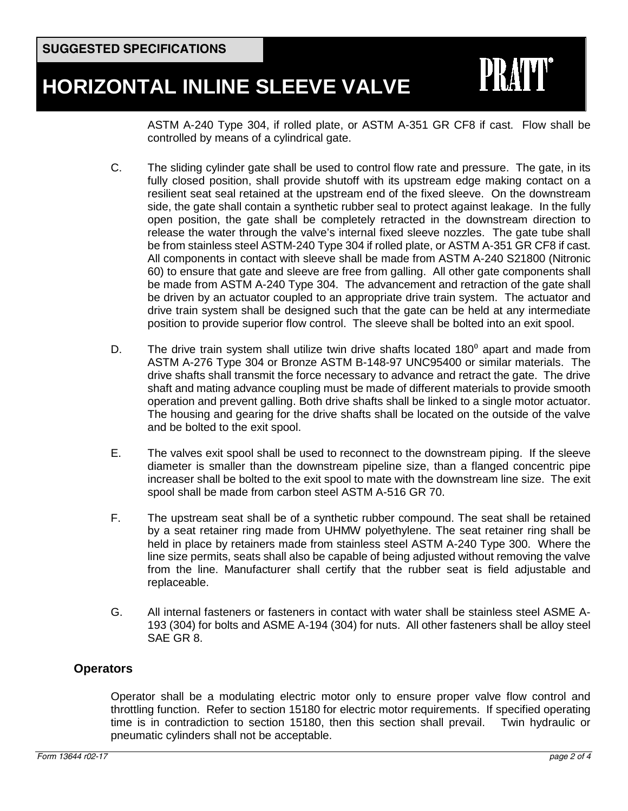ASTM A-240 Type 304, if rolled plate, or ASTM A-351 GR CF8 if cast. Flow shall be controlled by means of a cylindrical gate.

**PRATT®** 

- C. The sliding cylinder gate shall be used to control flow rate and pressure. The gate, in its fully closed position, shall provide shutoff with its upstream edge making contact on a resilient seat seal retained at the upstream end of the fixed sleeve. On the downstream side, the gate shall contain a synthetic rubber seal to protect against leakage. In the fully open position, the gate shall be completely retracted in the downstream direction to release the water through the valve's internal fixed sleeve nozzles. The gate tube shall be from stainless steel ASTM-240 Type 304 if rolled plate, or ASTM A-351 GR CF8 if cast. All components in contact with sleeve shall be made from ASTM A-240 S21800 (Nitronic 60) to ensure that gate and sleeve are free from galling. All other gate components shall be made from ASTM A-240 Type 304. The advancement and retraction of the gate shall be driven by an actuator coupled to an appropriate drive train system. The actuator and drive train system shall be designed such that the gate can be held at any intermediate position to provide superior flow control. The sleeve shall be bolted into an exit spool.
- D. The drive train system shall utilize twin drive shafts located  $180^{\circ}$  apart and made from ASTM A-276 Type 304 or Bronze ASTM B-148-97 UNC95400 or similar materials. The drive shafts shall transmit the force necessary to advance and retract the gate. The drive shaft and mating advance coupling must be made of different materials to provide smooth operation and prevent galling. Both drive shafts shall be linked to a single motor actuator. The housing and gearing for the drive shafts shall be located on the outside of the valve and be bolted to the exit spool.
- E. The valves exit spool shall be used to reconnect to the downstream piping. If the sleeve diameter is smaller than the downstream pipeline size, than a flanged concentric pipe increaser shall be bolted to the exit spool to mate with the downstream line size. The exit spool shall be made from carbon steel ASTM A-516 GR 70.
- F. The upstream seat shall be of a synthetic rubber compound. The seat shall be retained by a seat retainer ring made from UHMW polyethylene. The seat retainer ring shall be held in place by retainers made from stainless steel ASTM A-240 Type 300. Where the line size permits, seats shall also be capable of being adjusted without removing the valve from the line. Manufacturer shall certify that the rubber seat is field adjustable and replaceable.
- G. All internal fasteners or fasteners in contact with water shall be stainless steel ASME A-193 (304) for bolts and ASME A-194 (304) for nuts. All other fasteners shall be alloy steel SAE GR 8.

# **Operators**

Operator shall be a modulating electric motor only to ensure proper valve flow control and throttling function. Refer to section 15180 for electric motor requirements. If specified operating time is in contradiction to section 15180, then this section shall prevail. Twin hydraulic or pneumatic cylinders shall not be acceptable.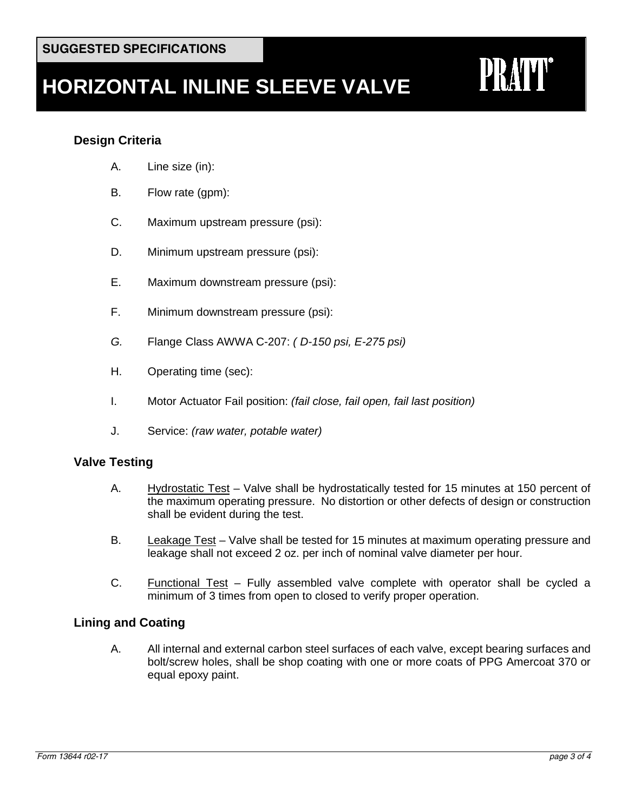# **Design Criteria**

- A. Line size (in):
- B. Flow rate (gpm):
- C. Maximum upstream pressure (psi):
- D. Minimum upstream pressure (psi):
- E. Maximum downstream pressure (psi):
- F. Minimum downstream pressure (psi):
- *G.* Flange Class AWWA C-207: *( D-150 psi, E-275 psi)*
- H. Operating time (sec):
- I. Motor Actuator Fail position: *(fail close, fail open, fail last position)*
- J. Service: *(raw water, potable water)*

## **Valve Testing**

- A. Hydrostatic Test Valve shall be hydrostatically tested for 15 minutes at 150 percent of the maximum operating pressure. No distortion or other defects of design or construction shall be evident during the test.
- B. Leakage Test Valve shall be tested for 15 minutes at maximum operating pressure and leakage shall not exceed 2 oz. per inch of nominal valve diameter per hour.
- C. Functional Test Fully assembled valve complete with operator shall be cycled a minimum of 3 times from open to closed to verify proper operation.

## **Lining and Coating**

A. All internal and external carbon steel surfaces of each valve, except bearing surfaces and bolt/screw holes, shall be shop coating with one or more coats of PPG Amercoat 370 or equal epoxy paint.

**PRATT®**